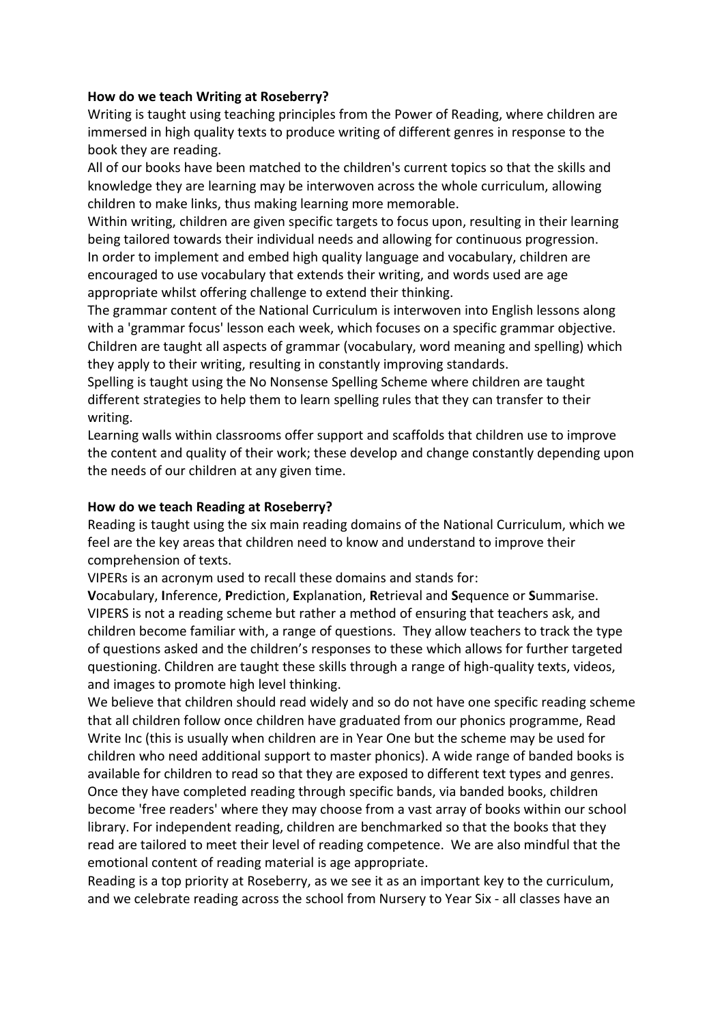## **How do we teach Writing at Roseberry?**

Writing is taught using teaching principles from the Power of Reading, where children are immersed in high quality texts to produce writing of different genres in response to the book they are reading.

All of our books have been matched to the children's current topics so that the skills and knowledge they are learning may be interwoven across the whole curriculum, allowing children to make links, thus making learning more memorable.

Within writing, children are given specific targets to focus upon, resulting in their learning being tailored towards their individual needs and allowing for continuous progression. In order to implement and embed high quality language and vocabulary, children are encouraged to use vocabulary that extends their writing, and words used are age appropriate whilst offering challenge to extend their thinking.

The grammar content of the National Curriculum is interwoven into English lessons along with a 'grammar focus' lesson each week, which focuses on a specific grammar objective. Children are taught all aspects of grammar (vocabulary, word meaning and spelling) which they apply to their writing, resulting in constantly improving standards.

Spelling is taught using the No Nonsense Spelling Scheme where children are taught different strategies to help them to learn spelling rules that they can transfer to their writing.

Learning walls within classrooms offer support and scaffolds that children use to improve the content and quality of their work; these develop and change constantly depending upon the needs of our children at any given time.

## **How do we teach Reading at Roseberry?**

Reading is taught using the six main reading domains of the National Curriculum, which we feel are the key areas that children need to know and understand to improve their comprehension of texts.

VIPERs is an acronym used to recall these domains and stands for:

**V**ocabulary, **I**nference, **P**rediction, **E**xplanation, **R**etrieval and **S**equence or **S**ummarise. VIPERS is not a reading scheme but rather a method of ensuring that teachers ask, and children become familiar with, a range of questions. They allow teachers to track the type of questions asked and the children's responses to these which allows for further targeted questioning. Children are taught these skills through a range of high-quality texts, videos, and images to promote high level thinking.

We believe that children should read widely and so do not have one specific reading scheme that all children follow once children have graduated from our phonics programme, Read Write Inc (this is usually when children are in Year One but the scheme may be used for children who need additional support to master phonics). A wide range of banded books is available for children to read so that they are exposed to different text types and genres. Once they have completed reading through specific bands, via banded books, children become 'free readers' where they may choose from a vast array of books within our school library. For independent reading, children are benchmarked so that the books that they read are tailored to meet their level of reading competence. We are also mindful that the emotional content of reading material is age appropriate.

Reading is a top priority at Roseberry, as we see it as an important key to the curriculum, and we celebrate reading across the school from Nursery to Year Six - all classes have an